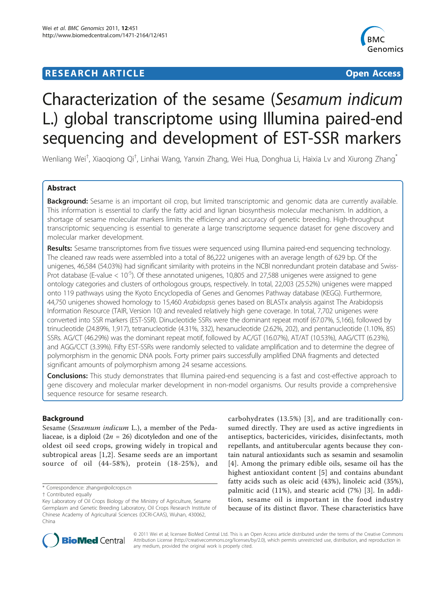## **RESEARCH ARTICLE External Structure Control Control Control Control Control Control Control Control Control Control Control Control Control Control Control Control Control Control Control Control Control Control Control**



# Characterization of the sesame (Sesamum indicum L.) global transcriptome using Illumina paired-end sequencing and development of EST-SSR markers

Wenliang Wei<sup>†</sup>, Xiaoqiong Qi<sup>†</sup>, Linhai Wang, Yanxin Zhang, Wei Hua, Donghua Li, Haixia Lv and Xiurong Zhang<sup>\*</sup>

## Abstract

Background: Sesame is an important oil crop, but limited transcriptomic and genomic data are currently available. This information is essential to clarify the fatty acid and lignan biosynthesis molecular mechanism. In addition, a shortage of sesame molecular markers limits the efficiency and accuracy of genetic breeding. High-throughput transcriptomic sequencing is essential to generate a large transcriptome sequence dataset for gene discovery and molecular marker development.

Results: Sesame transcriptomes from five tissues were sequenced using Illumina paired-end sequencing technology. The cleaned raw reads were assembled into a total of 86,222 unigenes with an average length of 629 bp. Of the unigenes, 46,584 (54.03%) had significant similarity with proteins in the NCBI nonredundant protein database and Swiss-Prot database (E-value  $< 10^{-5}$ ). Of these annotated unigenes, 10,805 and 27,588 unigenes were assigned to gene ontology categories and clusters of orthologous groups, respectively. In total, 22,003 (25.52%) unigenes were mapped onto 119 pathways using the Kyoto Encyclopedia of Genes and Genomes Pathway database (KEGG). Furthermore, 44,750 unigenes showed homology to 15,460 Arabidopsis genes based on BLASTx analysis against The Arabidopsis Information Resource (TAIR, Version 10) and revealed relatively high gene coverage. In total, 7,702 unigenes were converted into SSR markers (EST-SSR). Dinucleotide SSRs were the dominant repeat motif (67.07%, 5,166), followed by trinucleotide (24.89%, 1,917), tetranucleotide (4.31%, 332), hexanucleotide (2.62%, 202), and pentanucleotide (1.10%, 85) SSRs. AG/CT (46.29%) was the dominant repeat motif, followed by AC/GT (16.07%), AT/AT (10.53%), AAG/CTT (6.23%), and AGG/CCT (3.39%). Fifty EST-SSRs were randomly selected to validate amplification and to determine the degree of polymorphism in the genomic DNA pools. Forty primer pairs successfully amplified DNA fragments and detected significant amounts of polymorphism among 24 sesame accessions.

**Conclusions:** This study demonstrates that Illumina paired-end sequencing is a fast and cost-effective approach to gene discovery and molecular marker development in non-model organisms. Our results provide a comprehensive sequence resource for sesame research.

## Background

Sesame (Sesamum indicum L.), a member of the Pedaliaceae, is a diploid  $(2n = 26)$  dicotyledon and one of the oldest oil seed crops, growing widely in tropical and subtropical areas [[1,2](#page-11-0)]. Sesame seeds are an important source of oil (44-58%), protein (18-25%), and

carbohydrates (13.5%) [[3](#page-11-0)], and are traditionally consumed directly. They are used as active ingredients in antiseptics, bactericides, viricides, disinfectants, moth repellants, and antitubercular agents because they contain natural antioxidants such as sesamin and sesamolin [[4](#page-11-0)]. Among the primary edible oils, sesame oil has the highest antioxidant content [[5](#page-11-0)] and contains abundant fatty acids such as oleic acid (43%), linoleic acid (35%), palmitic acid (11%), and stearic acid (7%) [[3](#page-11-0)]. In addition, sesame oil is important in the food industry because of its distinct flavor. These characteristics have



© 2011 Wei et al; licensee BioMed Central Ltd. This is an Open Access article distributed under the terms of the Creative Commons Attribution License [\(http://creativecommons.org/licenses/by/2.0](http://creativecommons.org/licenses/by/2.0)), which permits unrestricted use, distribution, and reproduction in any medium, provided the original work is properly cited.

<sup>\*</sup> Correspondence: [zhangxr@oilcrops.cn](mailto:zhangxr@oilcrops.cn)

<sup>†</sup> Contributed equally

Key Laboratory of Oil Crops Biology of the Ministry of Agriculture, Sesame Germplasm and Genetic Breeding Laboratory, Oil Crops Research Institute of Chinese Academy of Agricultural Sciences (OCRI-CAAS), Wuhan, 430062, China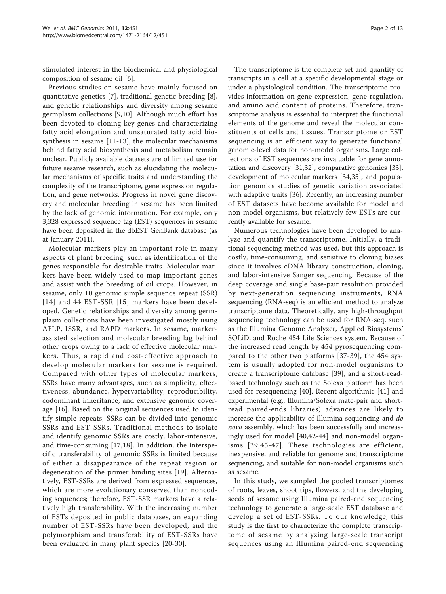stimulated interest in the biochemical and physiological composition of sesame oil [\[6\]](#page-11-0).

Previous studies on sesame have mainly focused on quantitative genetics [\[7](#page-11-0)], traditional genetic breeding [\[8](#page-11-0)], and genetic relationships and diversity among sesame germplasm collections [\[9,10](#page-11-0)]. Although much effort has been devoted to cloning key genes and characterizing fatty acid elongation and unsaturated fatty acid biosynthesis in sesame [\[11](#page-11-0)-[13](#page-11-0)], the molecular mechanisms behind fatty acid biosynthesis and metabolism remain unclear. Publicly available datasets are of limited use for future sesame research, such as elucidating the molecular mechanisms of specific traits and understanding the complexity of the transcriptome, gene expression regulation, and gene networks. Progress in novel gene discovery and molecular breeding in sesame has been limited by the lack of genomic information. For example, only 3,328 expressed sequence tag (EST) sequences in sesame have been deposited in the dbEST GenBank database (as at January 2011).

Molecular markers play an important role in many aspects of plant breeding, such as identification of the genes responsible for desirable traits. Molecular markers have been widely used to map important genes and assist with the breeding of oil crops. However, in sesame, only 10 genomic simple sequence repeat (SSR) [[14\]](#page-11-0) and 44 EST-SSR [[15](#page-11-0)] markers have been developed. Genetic relationships and diversity among germplasm collections have been investigated mostly using AFLP, ISSR, and RAPD markers. In sesame, markerassisted selection and molecular breeding lag behind other crops owing to a lack of effective molecular markers. Thus, a rapid and cost-effective approach to develop molecular markers for sesame is required. Compared with other types of molecular markers, SSRs have many advantages, such as simplicity, effectiveness, abundance, hypervariability, reproducibility, codominant inheritance, and extensive genomic coverage [\[16](#page-11-0)]. Based on the original sequences used to identify simple repeats, SSRs can be divided into genomic SSRs and EST-SSRs. Traditional methods to isolate and identify genomic SSRs are costly, labor-intensive, and time-consuming [\[17,18\]](#page-11-0). In addition, the interspecific transferability of genomic SSRs is limited because of either a disappearance of the repeat region or degeneration of the primer binding sites [\[19](#page-11-0)]. Alternatively, EST-SSRs are derived from expressed sequences, which are more evolutionary conserved than noncoding sequences; therefore, EST-SSR markers have a relatively high transferability. With the increasing number of ESTs deposited in public databases, an expanding number of EST-SSRs have been developed, and the polymorphism and transferability of EST-SSRs have been evaluated in many plant species [[20-](#page-11-0)[30\]](#page-12-0).

The transcriptome is the complete set and quantity of transcripts in a cell at a specific developmental stage or under a physiological condition. The transcriptome provides information on gene expression, gene regulation, and amino acid content of proteins. Therefore, transcriptome analysis is essential to interpret the functional elements of the genome and reveal the molecular constituents of cells and tissues. Transcriptome or EST sequencing is an efficient way to generate functional genomic-level data for non-model organisms. Large collections of EST sequences are invaluable for gene annotation and discovery [[31,32\]](#page-12-0), comparative genomics [\[33](#page-12-0)], development of molecular markers [\[34](#page-12-0),[35](#page-12-0)], and population genomics studies of genetic variation associated with adaptive traits [\[36](#page-12-0)]. Recently, an increasing number of EST datasets have become available for model and non-model organisms, but relatively few ESTs are currently available for sesame.

Numerous technologies have been developed to analyze and quantify the transcriptome. Initially, a traditional sequencing method was used, but this approach is costly, time-consuming, and sensitive to cloning biases since it involves cDNA library construction, cloning, and labor-intensive Sanger sequencing. Because of the deep coverage and single base-pair resolution provided by next-generation sequencing instruments, RNA sequencing (RNA-seq) is an efficient method to analyze transcriptome data. Theoretically, any high-throughput sequencing technology can be used for RNA-seq, such as the Illumina Genome Analyzer, Applied Biosystems' SOLiD, and Roche 454 Life Sciences system. Because of the increased read length by 454 pyrosequencing compared to the other two platforms [[37-39\]](#page-12-0), the 454 system is usually adopted for non-model organisms to create a transcriptome database [[39\]](#page-12-0), and a short-readbased technology such as the Solexa platform has been used for resequencing [[40\]](#page-12-0). Recent algorithmic [[41\]](#page-12-0) and experimental (e.g., Illumina/Solexa mate-pair and shortread paired-ends libraries) advances are likely to increase the applicability of Illumina sequencing and de novo assembly, which has been successfully and increasingly used for model [[40,42](#page-12-0)-[44\]](#page-12-0) and non-model organisms [[39](#page-12-0),[45-47](#page-12-0)]. These technologies are efficient, inexpensive, and reliable for genome and transcriptome sequencing, and suitable for non-model organisms such as sesame.

In this study, we sampled the pooled transcriptomes of roots, leaves, shoot tips, flowers, and the developing seeds of sesame using Illumina paired-end sequencing technology to generate a large-scale EST database and develop a set of EST-SSRs. To our knowledge, this study is the first to characterize the complete transcriptome of sesame by analyzing large-scale transcript sequences using an Illumina paired-end sequencing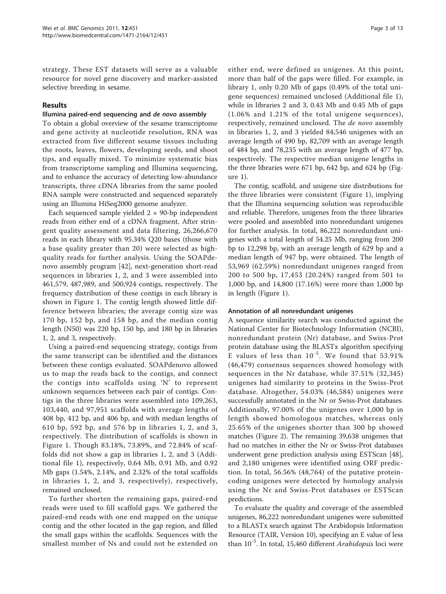strategy. These EST datasets will serve as a valuable resource for novel gene discovery and marker-assisted selective breeding in sesame.

### Results

#### Illumina paired-end sequencing and de novo assembly

To obtain a global overview of the sesame transcriptome and gene activity at nucleotide resolution, RNA was extracted from five different sesame tissues including the roots, leaves, flowers, developing seeds, and shoot tips, and equally mixed. To minimize systematic bias from transcriptome sampling and Illumina sequencing, and to enhance the accuracy of detecting low-abundance transcripts, three cDNA libraries from the same pooled RNA sample were constructed and sequenced separately using an Illumina HiSeq2000 genome analyzer.

Each sequenced sample yielded  $2 \times 90$ -bp independent reads from either end of a cDNA fragment. After stringent quality assessment and data filtering, 26,266,670 reads in each library with 95.34% Q20 bases (those with a base quality greater than 20) were selected as highquality reads for further analysis. Using the SOAPdenovo assembly program [[42](#page-12-0)], next-generation short-read sequences in libraries 1, 2, and 3 were assembled into 461,579, 487,989, and 500,924 contigs, respectively. The frequency distribution of these contigs in each library is shown in Figure [1.](#page-3-0) The contig length showed little difference between libraries; the average contig size was 170 bp, 152 bp, and 158 bp, and the median contig length (N50) was 220 bp, 150 bp, and 180 bp in libraries 1, 2, and 3, respectively.

Using a paired-end sequencing strategy, contigs from the same transcript can be identified and the distances between these contigs evaluated. SOAPdenovo allowed us to map the reads back to the contigs, and connect the contigs into scaffolds using 'N' to represent unknown sequences between each pair of contigs. Contigs in the three libraries were assembled into 109,263, 103,440, and 97,951 scaffolds with average lengths of 408 bp, 412 bp, and 406 bp, and with median lengths of 610 bp, 592 bp, and 576 bp in libraries 1, 2, and 3, respectively. The distribution of scaffolds is shown in Figure [1](#page-3-0). Though 83.18%, 73.89%, and 72.84% of scaffolds did not show a gap in libraries 1, 2, and 3 (Additional file [1](#page-11-0)), respectively, 0.64 Mb, 0.91 Mb, and 0.92 Mb gaps (1.54%, 2.14%, and 2.32% of the total scaffolds in libraries 1, 2, and 3, respectively), respectively, remained unclosed.

To further shorten the remaining gaps, paired-end reads were used to fill scaffold gaps. We gathered the paired-end reads with one end mapped on the unique contig and the other located in the gap region, and filled the small gaps within the scaffolds. Sequences with the smallest number of Ns and could not be extended on

either end, were defined as unigenes. At this point, more than half of the gaps were filled. For example, in library 1, only 0.20 Mb of gaps (0.49% of the total unigene sequences) remained unclosed (Additional file [1](#page-11-0)), while in libraries 2 and 3, 0.43 Mb and 0.45 Mb of gaps (1.06% and 1.21% of the total unigene sequences), respectively, remained unclosed. The de novo assembly in libraries 1, 2, and 3 yielded 84,546 unigenes with an average length of 490 bp, 82,709 with an average length of 484 bp, and 78,235 with an average length of 477 bp, respectively. The respective median unigene lengths in the three libraries were 671 bp, 642 bp, and 624 bp (Figure [1](#page-3-0)).

The contig, scaffold, and unigene size distributions for the three libraries were consistent (Figure [1\)](#page-3-0), implying that the Illumina sequencing solution was reproducible and reliable. Therefore, unigenes from the three libraries were pooled and assembled into nonredundant unigenes for further analysis. In total, 86,222 nonredundant unigenes with a total length of 54.25 Mb, ranging from 200 bp to 12,298 bp, with an average length of 629 bp and a median length of 947 bp, were obtained. The length of 53,969 (62.59%) nonredundant unigenes ranged from 200 to 500 bp, 17,453 (20.24%) ranged from 501 to 1,000 bp, and 14,800 (17.16%) were more than 1,000 bp in length (Figure [1](#page-3-0)).

#### Annotation of all nonredundant unigenes

A sequence similarity search was conducted against the National Center for Biotechnology Information (NCBI), nonredundant protein (Nr) database, and Swiss-Prot protein database using the BLASTx algorithm specifying E values of less than  $10^{-5}$ . We found that 53.91% (46,479) consensus sequences showed homology with sequences in the Nr database, while 37.51% (32,345) unigenes had similarity to proteins in the Swiss-Prot database. Altogether, 54.03% (46,584) unigenes were successfully annotated in the Nr or Swiss-Prot databases. Additionally, 97.00% of the unigenes over 1,000 bp in length showed homologous matches, whereas only 25.65% of the unigenes shorter than 300 bp showed matches (Figure [2](#page-4-0)). The remaining 39,638 unigenes that had no matches in either the Nr or Swiss-Prot databases underwent gene prediction analysis using ESTScan [\[48](#page-12-0)], and 2,180 unigenes were identified using ORF prediction. In total, 56.56% (48,764) of the putative proteincoding unigenes were detected by homology analysis using the Nr and Swiss-Prot databases or ESTScan predictions.

To evaluate the quality and coverage of the assembled unigenes, 86,222 nonredundant unigenes were submitted to a BLASTx search against The Arabidopsis Information Resource (TAIR, Version 10), specifying an E value of less than  $10^{-5}$ . In total, 15,460 different *Arabidopsis* loci were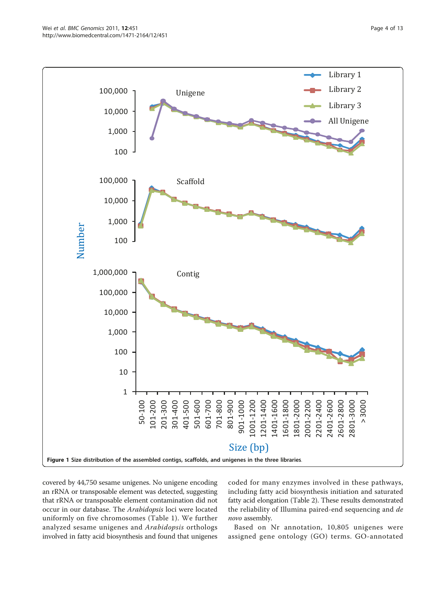<span id="page-3-0"></span>

covered by 44,750 sesame unigenes. No unigene encoding an rRNA or transposable element was detected, suggesting that rRNA or transposable element contamination did not occur in our database. The Arabidopsis loci were located uniformly on five chromosomes (Table [1\)](#page-4-0). We further analyzed sesame unigenes and Arabidopsis orthologs involved in fatty acid biosynthesis and found that unigenes coded for many enzymes involved in these pathways, including fatty acid biosynthesis initiation and saturated fatty acid elongation (Table [2\)](#page-5-0). These results demonstrated the reliability of Illumina paired-end sequencing and de novo assembly.

Based on Nr annotation, 10,805 unigenes were assigned gene ontology (GO) terms. GO-annotated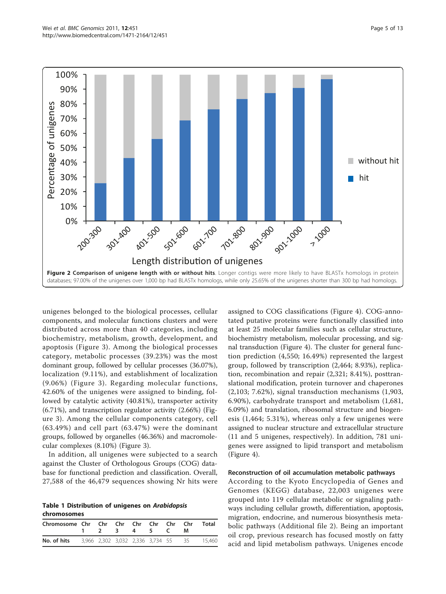<span id="page-4-0"></span>

unigenes belonged to the biological processes, cellular components, and molecular functions clusters and were distributed across more than 40 categories, including biochemistry, metabolism, growth, development, and apoptosis (Figure [3](#page-5-0)). Among the biological processes category, metabolic processes (39.23%) was the most dominant group, followed by cellular processes (36.07%), localization (9.11%), and establishment of localization (9.06%) (Figure [3\)](#page-5-0). Regarding molecular functions, 42.60% of the unigenes were assigned to binding, followed by catalytic activity (40.81%), transporter activity (6.71%), and transcription regulator activity (2.66%) (Figure [3\)](#page-5-0). Among the cellular components category, cell (63.49%) and cell part (63.47%) were the dominant groups, followed by organelles (46.36%) and macromolecular complexes (8.10%) (Figure [3](#page-5-0)).

In addition, all unigenes were subjected to a search against the Cluster of Orthologous Groups (COG) database for functional prediction and classification. Overall, 27,588 of the 46,479 sequences showing Nr hits were

Table 1 Distribution of unigenes on Arabidopsis chromosomes

| Chromosome Chr Chr Chr Chr Chr Chr Chr                        |  | 1 2 3 4 5 C |  | M | Total |
|---------------------------------------------------------------|--|-------------|--|---|-------|
| <b>No. of hits</b> 3,966 2,302 3,032 2,336 3,734 55 35 15,460 |  |             |  |   |       |

assigned to COG classifications (Figure [4\)](#page-6-0). COG-annotated putative proteins were functionally classified into at least 25 molecular families such as cellular structure, biochemistry metabolism, molecular processing, and signal transduction (Figure [4\)](#page-6-0). The cluster for general function prediction (4,550; 16.49%) represented the largest group, followed by transcription (2,464; 8.93%), replication, recombination and repair (2,321; 8.41%), posttranslational modification, protein turnover and chaperones (2,103; 7.62%), signal transduction mechanisms (1,903, 6.90%), carbohydrate transport and metabolism (1,681, 6.09%) and translation, ribosomal structure and biogenesis (1,464; 5.31%), whereas only a few unigenes were assigned to nuclear structure and extracellular structure (11 and 5 unigenes, respectively). In addition, 781 unigenes were assigned to lipid transport and metabolism (Figure [4\)](#page-6-0).

#### Reconstruction of oil accumulation metabolic pathways

According to the Kyoto Encyclopedia of Genes and Genomes (KEGG) database, 22,003 unigenes were grouped into 119 cellular metabolic or signaling pathways including cellular growth, differentiation, apoptosis, migration, endocrine, and numerous biosynthesis metabolic pathways (Additional file [2\)](#page-11-0). Being an important oil crop, previous research has focused mostly on fatty acid and lipid metabolism pathways. Unigenes encode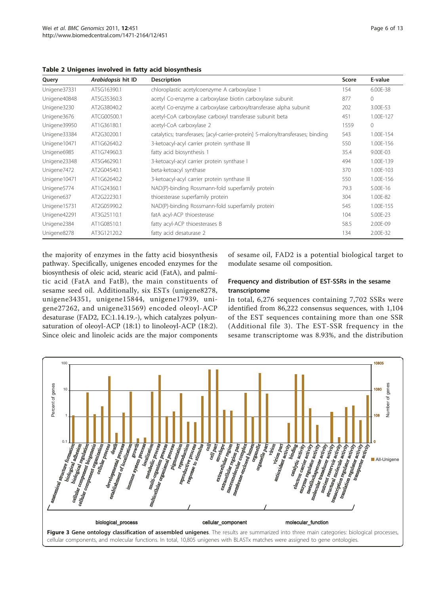<span id="page-5-0"></span>

|  |  |  |  |  |  |  | Table 2 Unigenes involved in fatty acid biosynthesis |
|--|--|--|--|--|--|--|------------------------------------------------------|
|--|--|--|--|--|--|--|------------------------------------------------------|

| Query        | Arabidopsis hit ID | <b>Description</b>                                                              | Score | E-value   |
|--------------|--------------------|---------------------------------------------------------------------------------|-------|-----------|
| Unigene37331 | AT5G16390.1        | chloroplastic acetylcoenzyme A carboxylase 1                                    | 154   | 6.00E-38  |
| Unigene40848 | AT5G35360.3        | acetyl Co-enzyme a carboxylase biotin carboxylase subunit                       | 877   | 0         |
| Unigene3230  | AT2G38040.2        | acetyl Co-enzyme a carboxylase carboxyltransferase alpha subunit                | 202   | 3.00E-53  |
| Unigene3676  | ATCG00500.1        | acetyl-CoA carboxylase carboxyl transferase subunit beta                        | 451   | 1.00E-127 |
| Unigene39950 | AT1G36180.1        | acetyl-CoA carboxylase 2                                                        | 1559  | 0         |
| Unigene33384 | AT2G30200.1        | catalytics; transferases; [acyl-carrier-protein] S-malonyltransferases; binding | 543   | 1.00E-154 |
| Unigene10471 | AT1G62640.2        | 3-ketoacyl-acyl carrier protein synthase III                                    | 550   | 1.00E-156 |
| Unigene6985  | AT1G74960.3        | fatty acid biosynthesis 1                                                       | 35.4  | 9.00E-03  |
| Unigene23348 | AT5G46290.1        | 3-ketoacyl-acyl carrier protein synthase I                                      | 494   | 1.00E-139 |
| Unigene7472  | AT2G04540.1        | beta-ketoacyl synthase                                                          | 370   | 1.00E-103 |
| Unigene10471 | AT1G62640.2        | 3-ketoacyl-acyl carrier protein synthase III                                    | 550   | 1.00E-156 |
| Unigene5774  | AT1G24360.1        | NAD(P)-binding Rossmann-fold superfamily protein                                | 79.3  | 5.00E-16  |
| Unigene637   | AT2G22230.1        | thioesterase superfamily protein                                                | 304   | 1.00E-82  |
| Unigene15731 | AT2G05990.2        | NAD(P)-binding Rossmann-fold superfamily protein                                | 545   | 1.00E-155 |
| Unigene42291 | AT3G25110.1        | fatA acyl-ACP thioesterase                                                      | 104   | 5.00E-23  |
| Unigene2384  | AT1G08510.1        | fatty acyl-ACP thioesterases B                                                  | 58.5  | 2.00E-09  |
| Unigene8278  | AT3G12120.2        | fatty acid desaturase 2                                                         | 134   | 2.00E-32  |

the majority of enzymes in the fatty acid biosynthesis pathway. Specifically, unigenes encoded enzymes for the biosynthesis of oleic acid, stearic acid (FatA), and palmitic acid (FatA and FatB), the main constituents of sesame seed oil. Additionally, six ESTs (unigene8278, unigene34351, unigene15844, unigene17939, unigene27262, and unigene31569) encoded oleoyl-ACP desaturase (FAD2, EC:1.14.19.-), which catalyzes polyunsaturation of oleoyl-ACP (18:1) to linoleoyl-ACP (18:2). Since oleic and linoleic acids are the major components

of sesame oil, FAD2 is a potential biological target to modulate sesame oil composition.

## Frequency and distribution of EST-SSRs in the sesame transcriptome

In total, 6,276 sequences containing 7,702 SSRs were identified from 86,222 consensus sequences, with 1,104 of the EST sequences containing more than one SSR (Additional file [3\)](#page-11-0). The EST-SSR frequency in the sesame transcriptome was 8.93%, and the distribution

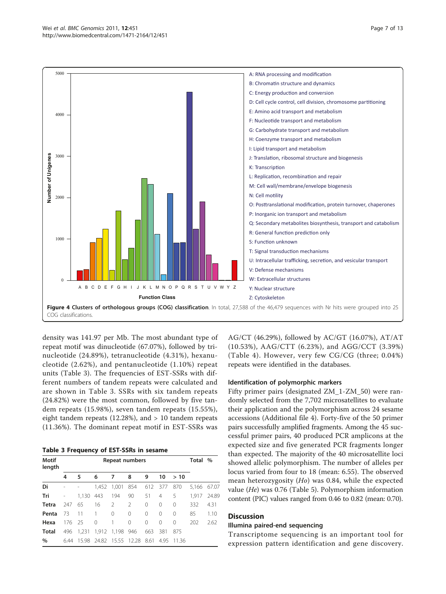<span id="page-6-0"></span>

density was 141.97 per Mb. The most abundant type of repeat motif was dinucleotide (67.07%), followed by trinucleotide (24.89%), tetranucleotide (4.31%), hexanucleotide (2.62%), and pentanucleotide (1.10%) repeat units (Table 3). The frequencies of EST-SSRs with different numbers of tandem repeats were calculated and are shown in Table 3. SSRs with six tandem repeats (24.82%) were the most common, followed by five tandem repeats (15.98%), seven tandem repeats (15.55%), eight tandem repeats (12.28%), and > 10 tandem repeats (11.36%). The dominant repeat motif in EST-SSRs was

Table 3 Frequency of EST-SSRs in sesame

| Motif<br>length | Repeat numbers |       |                |                   |               |          |          |           | Total % |       |  |
|-----------------|----------------|-------|----------------|-------------------|---------------|----------|----------|-----------|---------|-------|--|
|                 | 4              | 5     | 6              | 7                 | 8             | 9        | 10       | >10       |         |       |  |
| Di              |                |       | 1,452          | 1,001             | 854           | 612      | 377      | 870       | 5,166   | 67.07 |  |
| Tri             |                | 1,130 | 443            | 194               | 90            | 51       | 4        | 5         | 1,917   | 24.89 |  |
| <b>Tetra</b>    | 247            | 65    | 16             | $\mathcal{P}$     | $\mathcal{P}$ | $\Omega$ | $\Omega$ | $\Omega$  | 332     | 4.31  |  |
| Penta           | 73             | 11    | $\overline{1}$ | $\Omega$          | $\Omega$      | $\Omega$ | $\Omega$ | $\Omega$  | 85      | 1.10  |  |
| Hexa            | 176 25         |       | $\Omega$       | 1                 | $\Omega$      | $\Omega$ | $\Omega$ | $\bigcap$ | 202     | 2.62  |  |
| Total           | 496            | 1,231 |                | 1,912 1,198 946   |               | 663      | 381      | 875       |         |       |  |
| $\%$            | 6.44           | 15.98 |                | 24.82 15.55 12.28 |               | 8.61     | 4.95     | -1136     |         |       |  |

AG/CT (46.29%), followed by AC/GT (16.07%), AT/AT (10.53%), AAG/CTT (6.23%), and AGG/CCT (3.39%) (Table [4](#page-7-0)). However, very few CG/CG (three; 0.04%) repeats were identified in the databases.

#### Identification of polymorphic markers

Fifty primer pairs (designated ZM\_1-ZM\_50) were randomly selected from the 7,702 microsatellites to evaluate their application and the polymorphism across 24 sesame accessions (Additional file [4\)](#page-11-0). Forty-five of the 50 primer pairs successfully amplified fragments. Among the 45 successful primer pairs, 40 produced PCR amplicons at the expected size and five generated PCR fragments longer than expected. The majority of the 40 microsatellite loci showed allelic polymorphism. The number of alleles per locus varied from four to 18 (mean: 6.55). The observed mean heterozygosity (Ho) was 0.84, while the expected value (He) was 0.76 (Table [5](#page-8-0)). Polymorphism information content (PIC) values ranged from 0.46 to 0.82 (mean: 0.70).

#### **Discussion**

#### Illumina paired-end sequencing

Transcriptome sequencing is an important tool for expression pattern identification and gene discovery.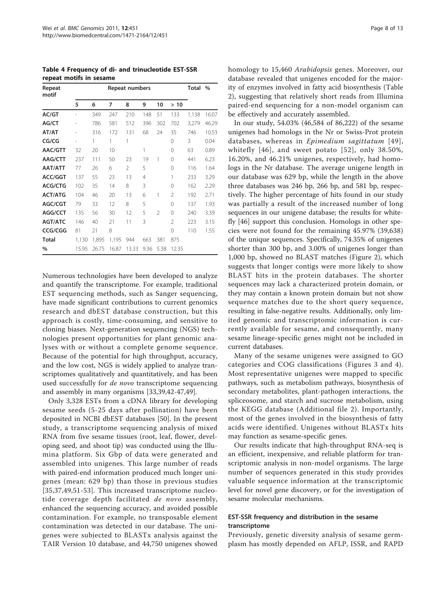<span id="page-7-0"></span>Table 4 Frequency of di- and trinucleotide EST-SSR repeat motifs in sesame

| Repeat<br>motif | Repeat numbers |       |       |                |      |                |                |       | $\frac{0}{0}$ |
|-----------------|----------------|-------|-------|----------------|------|----------------|----------------|-------|---------------|
|                 | 5              | 6     | 7     | 8              | 9    | 10             | >10            |       |               |
| AC/GT           |                | 349   | 247   | 210            | 148  | 51             | 133            | 1,138 | 16.07         |
| AG/CT           |                | 786   | 581   | 512            | 396  | 302            | 702            | 3,279 | 46.29         |
| AT/AT           |                | 316   | 172   | 131            | 68   | 24             | 35             | 746   | 10.53         |
| CG/CG           |                | 1     | 1     | 1              |      |                | $\Omega$       | 3     | 0.04          |
| AAC/GTT         | 32             | 20    | 10    |                | 1    |                | 0              | 63    | 0.89          |
| AAG/CTT         | 237            | 111   | 50    | 23             | 19   | 1              | 0              | 441   | 6.23          |
| AAT/ATT         | 77             | 26    | 6     | $\mathfrak{D}$ | 5    |                | 0              | 116   | 1.64          |
| <b>ACC/GGT</b>  | 137            | 55    | 23    | 13             | 4    |                | 1              | 233   | 3.29          |
| ACG/CTG         | 102            | 35    | 14    | 8              | 3    |                | $\Omega$       | 162   | 2.29          |
| <b>ACT/ATG</b>  | 104            | 46    | 20    | 13             | 6    | 1              | 2              | 192   | 2.71          |
| AGC/CGT         | 79             | 33    | 12    | 8              | 5    |                | $\Omega$       | 137   | 1.93          |
| AGG/CCT         | 135            | 56    | 30    | 12             | 5    | $\mathfrak{D}$ | $\Omega$       | 240   | 3.39          |
| <b>AGT/ATC</b>  | 146            | 40    | 21    | 11             | 3    |                | $\mathfrak{D}$ | 223   | 3.15          |
| CCG/CGG         | 81             | 21    | 8     |                |      |                | $\Omega$       | 110   | 1.55          |
| <b>Total</b>    | 1,130          | 1,895 | 1,195 | 944            | 663  | 381            | 875            |       |               |
| %               | 15.95          | 26.75 | 16.87 | 13.33          | 9.36 | 5.38           | 12.35          |       |               |

Numerous technologies have been developed to analyze and quantify the transcriptome. For example, traditional EST sequencing methods, such as Sanger sequencing, have made significant contributions to current genomics research and dbEST database construction, but this approach is costly, time-consuming, and sensitive to cloning biases. Next-generation sequencing (NGS) technologies present opportunities for plant genomic analyses with or without a complete genome sequence. Because of the potential for high throughput, accuracy, and the low cost, NGS is widely applied to analyze transcriptomes qualitatively and quantitatively, and has been used successfully for de novo transcriptome sequencing and assembly in many organisms [\[33,39,42-47,49\]](#page-12-0).

Only 3,328 ESTs from a cDNA library for developing sesame seeds (5-25 days after pollination) have been deposited in NCBI dbEST databases [\[50](#page-12-0)]. In the present study, a transcriptome sequencing analysis of mixed RNA from five sesame tissues (root, leaf, flower, developing seed, and shoot tip) was conducted using the Illumina platform. Six Gbp of data were generated and assembled into unigenes. This large number of reads with paired-end information produced much longer unigenes (mean: 629 bp) than those in previous studies [[35](#page-12-0),[37,49,51-53](#page-12-0)]. This increased transcriptome nucleotide coverage depth facilitated de novo assembly, enhanced the sequencing accuracy, and avoided possible contamination. For example, no transposable element contamination was detected in our database. The unigenes were subjected to BLASTx analysis against the TAIR Version 10 database, and 44,750 unigenes showed homology to 15,460 Arabidopsis genes. Moreover, our database revealed that unigenes encoded for the majority of enzymes involved in fatty acid biosynthesis (Table [2\)](#page-5-0), suggesting that relatively short reads from Illumina paired-end sequencing for a non-model organism can be effectively and accurately assembled.

In our study, 54.03% (46,584 of 86,222) of the sesame unigenes had homologs in the Nr or Swiss-Prot protein databases, whereas in Epimedium sagittatum [[49\]](#page-12-0), whitefly [[46\]](#page-12-0), and sweet potato [[52\]](#page-12-0), only 38.50%, 16.20%, and 46.21% unigenes, respectively, had homologs in the Nr database. The average unigene length in our database was 629 bp, while the length in the above three databases was 246 bp, 266 bp, and 581 bp, respectively. The higher percentage of hits found in our study was partially a result of the increased number of long sequences in our unigene database; the results for whitefly [\[46\]](#page-12-0) support this conclusion. Homologs in other species were not found for the remaining 45.97% (39,638) of the unique sequences. Specifically, 74.35% of unigenes shorter than 300 bp, and 3.00% of unigenes longer than 1,000 bp, showed no BLAST matches (Figure [2\)](#page-4-0), which suggests that longer contigs were more likely to show BLAST hits in the protein databases. The shorter sequences may lack a characterized protein domain, or they may contain a known protein domain but not show sequence matches due to the short query sequence, resulting in false-negative results. Additionally, only limited genomic and transcriptomic information is currently available for sesame, and consequently, many sesame lineage-specific genes might not be included in current databases.

Many of the sesame unigenes were assigned to GO categories and COG classifications (Figures [3](#page-5-0) and [4](#page-6-0)). Most representative unigenes were mapped to specific pathways, such as metabolism pathways, biosynthesis of secondary metabolites, plant-pathogen interactions, the spliceosome, and starch and sucrose metabolism, using the KEGG database (Additional file [2\)](#page-11-0). Importantly, most of the genes involved in the biosynthesis of fatty acids were identified. Unigenes without BLASTx hits may function as sesame-specific genes.

Our results indicate that high-throughput RNA-seq is an efficient, inexpensive, and reliable platform for transcriptomic analysis in non-model organisms. The large number of sequences generated in this study provides valuable sequence information at the transcriptomic level for novel gene discovery, or for the investigation of sesame molecular mechanisms.

## EST-SSR frequency and distribution in the sesame transcriptome

Previously, genetic diversity analysis of sesame germplasm has mostly depended on AFLP, ISSR, and RAPD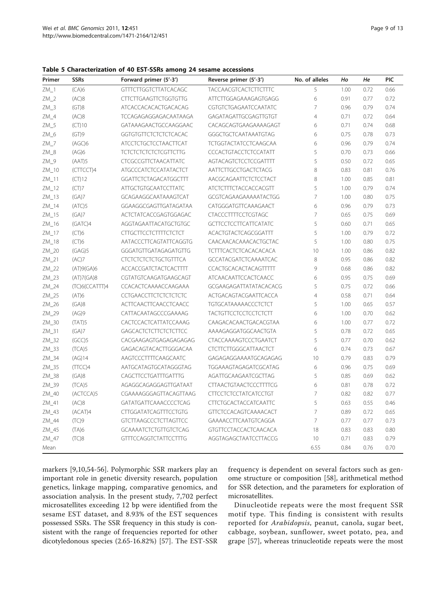<span id="page-8-0"></span>Table 5 Characterization of 40 EST-SSRs among 24 sesame accessions

| Primer   | <b>SSRs</b>    | Forward primer (5'-3')       | Reverse primer (5'-3')        | No. of alleles | Ho   | He   | PIC  |
|----------|----------------|------------------------------|-------------------------------|----------------|------|------|------|
| $ZM_1$   | (CA)6          | <b>GTTTCTTGGTCTTATCACAGC</b> | <b>TACCAACGTCACTCTTCTTTC</b>  | 5              | 1.00 | 0.72 | 0.66 |
| $ZM_2$   | (AC)8          | <b>CTTCTTGAAGTTCTGGTGTTG</b> | ATTCTTGGAGAAAGAGTGAGG         | 6              | 0.91 | 0.77 | 0.72 |
| $ZM_3$   | (GT)8          | ATCACCACACACTGACACAG         | CGTGTCTGAGAATCCAATATC         | $\overline{7}$ | 0.96 | 0.79 | 0.74 |
| $ZM_4$   | (AC)8          | TCCAGAGAGGAGACAATAAGA        | GAGATAGATTGCGAGTTGTGT         | $\overline{4}$ | 0.71 | 0.72 | 0.64 |
| $ZM_5$   | (CT)10         | GATAAAGAACTGCCAAGGAAC        | CACAGCAGTGAAGAAAAGAGT         | 6              | 0.71 | 0.74 | 0.68 |
| $ZM_6$   | (GT)9          | GGTGTGTTCTCTCTCTCACAC        | GGGCTGCTCAATAAATGTAG          | 6              | 0.75 | 0.78 | 0.73 |
| $ZM_7$   | (AGC)6         | <b>ATCCTCTGCTCCTAACTTCAT</b> | <b>TCTGGTACTATCCTCAAGCAA</b>  | 6              | 0.96 | 0.79 | 0.74 |
| $ZM_8$   | (AG)6          | <b>TCTCTCTCTCTCTCGTTCTTG</b> | CCCACTGTACCTCTCCATATT         | 5              | 0.70 | 0.73 | 0.66 |
| $ZM_9$   | (AAT)5         | <b>CTCGCCGTTCTAACATTATC</b>  | AGTACAGTCTCCTCCGATTTT         | 5              | 0.50 | 0.72 | 0.65 |
| ZM_10    | (CTTCCT)4      | <b>ATGCCCATCTCCATATACTCT</b> | AATTCTTGCCTGACTCTACG          | 8              | 0.83 | 0.81 | 0.76 |
| $ZM_111$ | (CT)12         | GGATTCTCTAGACATGGCTTT        | AACGCAGAATTCTCTCCTACT         | 8              | 1.00 | 0.85 | 0.81 |
| $ZM_112$ | (CT)7          | <b>ATTGCTGTGCAATCCTTATC</b>  | ATCTCTTTCTACCACCACGTT         | 5              | 1.00 | 0.79 | 0.74 |
| $ZM_13$  | (GA)7          | GCAGAAGGCAATAAAGTCAT         | GCGTCAGAAGAAAAATACTGG         | $\overline{7}$ | 1.00 | 0.80 | 0.75 |
| $ZM_114$ | (ATC)5         | GGAAGGCGAGTTGATAGATAA        | CATGGGATGTTCAAAGAACT          | 6              | 0.96 | 0.79 | 0.73 |
| ZM_15    | (GA)7          | ACTCTATCACCGAGTGGAGAC        | <b>CTACCCTTTTCCTCGTAGC</b>    | $\overline{7}$ | 0.65 | 0.75 | 0.69 |
| ZM_16    | (GATC)4        | AGGTAGAATTACATGCTGTGC        | <b>GCTTCCTCCTTCATTCATATC</b>  | 5              | 0.60 | 0.71 | 0.65 |
| ZM_17    | (CT)6          | <b>CITGCITCCTCITTTCTCTCT</b> | ACACTGTACTCAGCGGATTT          | 5              | 1.00 | 0.79 | 0.72 |
| $ZM_18$  | (CT)6          | AATACCCTTCAGTATTCAGGTG       | CAACAACACAAACACTGCTAC         | 5              | 1.00 | 0.80 | 0.75 |
| ZM_20    | (GAG)5         | GGGATGTTGATAGAGATGTTG        | <b>TCTTTCACTCTCACACACACA</b>  | 10             | 1.00 | 0.86 | 0.82 |
| $ZM_21$  | (AC)7          | <b>CTCTCTCTCTCTGCTGTTTCA</b> | <b>GCCATACGATCTCAAAATCAC</b>  | $\,8\,$        | 0.95 | 0.86 | 0.82 |
| ZM_22    | (AT)9(GA)6     | <b>ACCACCGATCTACTCACTTTT</b> | CCACTGCACACTACAGTTTTT         | 9              | 0.68 | 0.86 | 0.82 |
| ZM_23    | (AT)7(GA)8     | CGTATGTCAAGATGAAGCAGT        | <b>ATCAACAATTCCACTCAACC</b>   | 6              | 0.95 | 0.75 | 0.69 |
| ZM_24    | (TC)6(CCATTT)4 | CCACACTCAAAACCAAGAAA         | GCGAAGAGATTATATACACACG        | 5              | 0.75 | 0.72 | 0.66 |
| $ZM_2$   | (AT)6          | <b>CCTGAACCTTCTCTCTCTCTC</b> | ACTGACAGTACGAATTCACCA         | $\overline{4}$ | 0.58 | 0.71 | 0.64 |
| ZM_26    | (GA)8          | ACTTCAACTTCAACCTCAACC        | <b>TGTGCATAAAAACCCTCTCT</b>   | 5              | 1.00 | 0.65 | 0.57 |
| ZM_29    | (AG)9          | CATTACAATAGCCCGAAAAG         | <b>TACTGTTCCTCCTCCTCTTT</b>   | 6              | 1.00 | 0.70 | 0.62 |
| ZM_30    | (TAT)5         | CACTCCACTCATTATCCAAAG        | CAAGACACAACTGACACGTAA         | 6              | 1.00 | 0.77 | 0.72 |
| ZM_31    | (GA)7          | <b>GAGCACTCTCTTCTCTCTTCC</b> | AAAAGAGGATGGCAACTGTA          | 5              | 0.78 | 0.72 | 0.65 |
| ZM_32    | (GCC)5         | CACGAAGAGTGAGAGAGAGAG        | <b>CTACCAAAAGTCCCTGAATCT</b>  | 5              | 0.77 | 0.70 | 0.62 |
| ZM_33    | (TCA)5         | GAGACAGTACACTTGGGACAA        | <b>CTCTTCTTGGGCATTAACTCT</b>  | 6              | 0.74 | 0.73 | 0.67 |
| ZM_34    | (AG)14         | AAGTCCCTTTTCAAGCAATC         | GAGAGAGGAAAATGCAGAGAG         | 10             | 0.79 | 0.83 | 0.79 |
| ZM_35    | (TTCC)4        | AATGCATAGTGCATAGGGTAG        | TGGAAAGTAGAGATCGCATAG         | 6              | 0.96 | 0.75 | 0.69 |
| ZM_38    | (GA)8          | CAGCTTCCTGATTTGATTTG         | AGATTGCAAGAATCGCTTAG          | 5              | 0.85 | 0.69 | 0.62 |
| ZM_39    | (TCA)5         | AGAGGCAGAGGAGTTGATAAT        | <b>CTTAACTGTAACTCCCTTTTCG</b> | 6              | 0.81 | 0.78 | 0.72 |
| ZM_40    | (ACTCCA)5      | CGAAAAGGGAGTTACAGTTAAG       | <b>CTTCCTCTCCTATCATCCTGT</b>  | $\overline{7}$ | 0.82 | 0.82 | 0.77 |
| ZM_41    | (AC)8          | GATATGATTCAAACCCCTCAG        | <b>CTTCTGCACTACCATCAATTC</b>  | 5              | 0.63 | 0.55 | 0.46 |
| ZM_43    | (ACAT)4        | <b>CTTGGATATCAGTTTCCTGTG</b> | <b>GTTCTCCACAGTCAAAACACT</b>  | $\overline{7}$ | 0.89 | 0.72 | 0.65 |
| ZM_44    | (TC)9          | <b>GTCTTAAGCCCTCTTAGTTCC</b> | GAAAACCTTCAATGTCAGGA          | $\overline{7}$ | 0.77 | 0.77 | 0.73 |
| ZM_45    | (TA)6          | <b>GCAAAATCTCTGTTGTCTCAG</b> | GTGTTCCTACCACTCAACACA         | 18             | 0.83 | 0.83 | 0.80 |
| ZM_47    | (TC)8          | <b>GTTTCCAGGTCTATTCCTTTG</b> | AGGTAGAGCTAATCCTTACCG         | 10             | 0.71 | 0.83 | 0.79 |
| Mean     |                |                              |                               | 6.55           | 0.84 | 0.76 | 0.70 |

markers [[9,10,](#page-11-0)[54-56](#page-12-0)]. Polymorphic SSR markers play an important role in genetic diversity research, population genetics, linkage mapping, comparative genomics, and association analysis. In the present study, 7,702 perfect microsatellites exceeding 12 bp were identified from the sesame EST dataset, and 8.93% of the EST sequences possessed SSRs. The SSR frequency in this study is consistent with the range of frequencies reported for other dicotyledonous species (2.65-16.82%) [[57\]](#page-12-0). The EST-SSR frequency is dependent on several factors such as genome structure or composition [[58\]](#page-12-0), arithmetical method for SSR detection, and the parameters for exploration of microsatellites.

Dinucleotide repeats were the most frequent SSR motif type. This finding is consistent with results reported for Arabidopsis, peanut, canola, sugar beet, cabbage, soybean, sunflower, sweet potato, pea, and grape [\[57\]](#page-12-0), whereas trinucleotide repeats were the most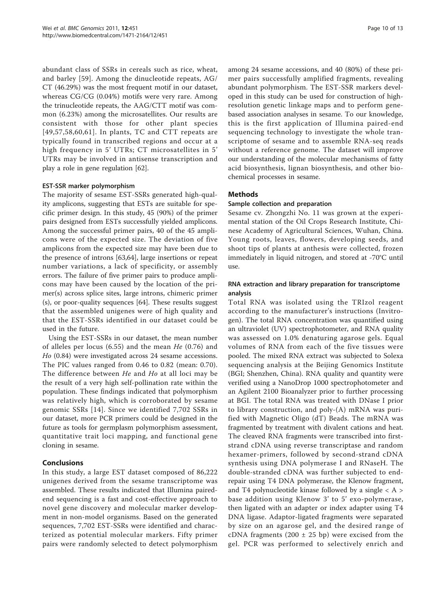abundant class of SSRs in cereals such as rice, wheat, and barley [[59\]](#page-12-0). Among the dinucleotide repeats, AG/ CT (46.29%) was the most frequent motif in our dataset, whereas CG/CG (0.04%) motifs were very rare. Among the trinucleotide repeats, the AAG/CTT motif was common (6.23%) among the microsatellites. Our results are consistent with those for other plant species [[49,57](#page-12-0),[58](#page-12-0),[60](#page-12-0),[61](#page-12-0)]. In plants, TC and CTT repeats are typically found in transcribed regions and occur at a high frequency in 5' UTRs; CT microsatellites in 5' UTRs may be involved in antisense transcription and play a role in gene regulation [[62](#page-12-0)].

#### EST-SSR marker polymorphism

The majority of sesame EST-SSRs generated high-quality amplicons, suggesting that ESTs are suitable for specific primer design. In this study, 45 (90%) of the primer pairs designed from ESTs successfully yielded amplicons. Among the successful primer pairs, 40 of the 45 amplicons were of the expected size. The deviation of five amplicons from the expected size may have been due to the presence of introns [[63,64](#page-12-0)], large insertions or repeat number variations, a lack of specificity, or assembly errors. The failure of five primer pairs to produce amplicons may have been caused by the location of the primer(s) across splice sites, large introns, chimeric primer (s), or poor-quality sequences [[64\]](#page-12-0). These results suggest that the assembled unigenes were of high quality and that the EST-SSRs identified in our dataset could be used in the future.

Using the EST-SSRs in our dataset, the mean number of alleles per locus  $(6.55)$  and the mean He  $(0.76)$  and Ho (0.84) were investigated across 24 sesame accessions. The PIC values ranged from 0.46 to 0.82 (mean: 0.70). The difference between He and Ho at all loci may be the result of a very high self-pollination rate within the population. These findings indicated that polymorphism was relatively high, which is corroborated by sesame genomic SSRs [[14](#page-11-0)]. Since we identified 7,702 SSRs in our dataset, more PCR primers could be designed in the future as tools for germplasm polymorphism assessment, quantitative trait loci mapping, and functional gene cloning in sesame.

## Conclusions

In this study, a large EST dataset composed of 86,222 unigenes derived from the sesame transcriptome was assembled. These results indicated that Illumina pairedend sequencing is a fast and cost-effective approach to novel gene discovery and molecular marker development in non-model organisms. Based on the generated sequences, 7,702 EST-SSRs were identified and characterized as potential molecular markers. Fifty primer pairs were randomly selected to detect polymorphism among 24 sesame accessions, and 40 (80%) of these primer pairs successfully amplified fragments, revealing abundant polymorphism. The EST-SSR markers developed in this study can be used for construction of highresolution genetic linkage maps and to perform genebased association analyses in sesame. To our knowledge, this is the first application of Illumina paired-end sequencing technology to investigate the whole transcriptome of sesame and to assemble RNA-seq reads without a reference genome. The dataset will improve our understanding of the molecular mechanisms of fatty acid biosynthesis, lignan biosynthesis, and other biochemical processes in sesame.

#### Methods

#### Sample collection and preparation

Sesame cv. Zhongzhi No. 11 was grown at the experimental station of the Oil Crops Research Institute, Chinese Academy of Agricultural Sciences, Wuhan, China. Young roots, leaves, flowers, developing seeds, and shoot tips of plants at anthesis were collected, frozen immediately in liquid nitrogen, and stored at -70°C until use.

#### RNA extraction and library preparation for transcriptome analysis

Total RNA was isolated using the TRIzol reagent according to the manufacturer's instructions (Invitrogen). The total RNA concentration was quantified using an ultraviolet (UV) spectrophotometer, and RNA quality was assessed on 1.0% denaturing agarose gels. Equal volumes of RNA from each of the five tissues were pooled. The mixed RNA extract was subjected to Solexa sequencing analysis at the Beijing Genomics Institute (BGI; Shenzhen, China). RNA quality and quantity were verified using a NanoDrop 1000 spectrophotometer and an Agilent 2100 Bioanalyzer prior to further processing at BGI. The total RNA was treated with DNase I prior to library construction, and poly-(A) mRNA was purified with Magnetic Oligo (dT) Beads. The mRNA was fragmented by treatment with divalent cations and heat. The cleaved RNA fragments were transcribed into firststrand cDNA using reverse transcriptase and random hexamer-primers, followed by second-strand cDNA synthesis using DNA polymerase I and RNaseH. The double-stranded cDNA was further subjected to endrepair using T4 DNA polymerase, the Klenow fragment, and T4 polynucleotide kinase followed by a single  $\langle A \rangle$ base addition using Klenow 3' to 5' exo-polymerase, then ligated with an adapter or index adapter using T4 DNA ligase. Adaptor-ligated fragments were separated by size on an agarose gel, and the desired range of cDNA fragments (200  $\pm$  25 bp) were excised from the gel. PCR was performed to selectively enrich and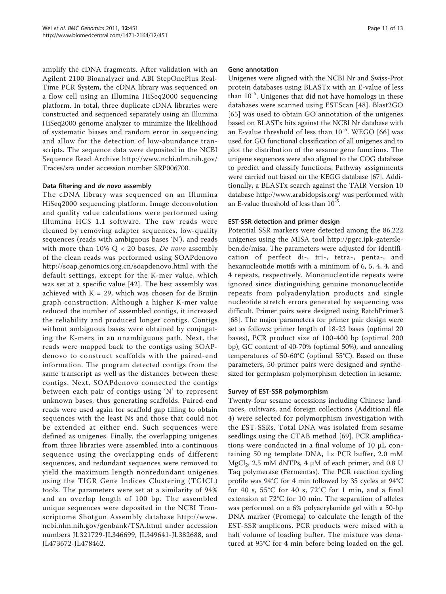amplify the cDNA fragments. After validation with an Agilent 2100 Bioanalyzer and ABI StepOnePlus Real-Time PCR System, the cDNA library was sequenced on a flow cell using an Illumina HiSeq2000 sequencing platform. In total, three duplicate cDNA libraries were constructed and sequenced separately using an Illumina HiSeq2000 genome analyzer to minimize the likelihood of systematic biases and random error in sequencing and allow for the detection of low-abundance transcripts. The sequence data were deposited in the NCBI Sequence Read Archive [http://www.ncbi.nlm.nih.gov/](http://www.ncbi.nlm.nih.gov/Traces/sra) [Traces/sra](http://www.ncbi.nlm.nih.gov/Traces/sra) under accession number SRP006700.

#### Data filtering and de novo assembly

The cDNA library was sequenced on an Illumina HiSeq2000 sequencing platform. Image deconvolution and quality value calculations were performed using Illumina HCS 1.1 software. The raw reads were cleaned by removing adapter sequences, low-quality sequences (reads with ambiguous bases 'N'), and reads with more than  $10\%$  Q < 20 bases. De novo assembly of the clean reads was performed using SOAPdenovo <http://soap.genomics.org.cn/soapdenovo.html> with the default settings, except for the K-mer value, which was set at a specific value [[42](#page-12-0)]. The best assembly was achieved with  $K = 29$ , which was chosen for de Bruijn graph construction. Although a higher K-mer value reduced the number of assembled contigs, it increased the reliability and produced longer contigs. Contigs without ambiguous bases were obtained by conjugating the K-mers in an unambiguous path. Next, the reads were mapped back to the contigs using SOAPdenovo to construct scaffolds with the paired-end information. The program detected contigs from the same transcript as well as the distances between these contigs. Next, SOAPdenovo connected the contigs between each pair of contigs using 'N' to represent unknown bases, thus generating scaffolds. Paired-end reads were used again for scaffold gap filling to obtain sequences with the least Ns and those that could not be extended at either end. Such sequences were defined as unigenes. Finally, the overlapping unigenes from three libraries were assembled into a continuous sequence using the overlapping ends of different sequences, and redundant sequences were removed to yield the maximum length nonredundant unigenes using the TIGR Gene Indices Clustering (TGICL) tools. The parameters were set at a similarity of 94% and an overlap length of 100 bp. The assembled unique sequences were deposited in the NCBI Transcriptome Shotgun Assembly database [http://www.](http://www.ncbi.nlm.nih.gov/genbank/TSA.html) [ncbi.nlm.nih.gov/genbank/TSA.html](http://www.ncbi.nlm.nih.gov/genbank/TSA.html) under accession numbers [JL321729](http://www.ncbi.nih.gov/entrez/query.fcgi?db=Nucleotide&cmd=search&term=JL321729)-[JL346699](http://www.ncbi.nih.gov/entrez/query.fcgi?db=Nucleotide&cmd=search&term=JL346699), [JL349641-](http://www.ncbi.nih.gov/entrez/query.fcgi?db=Nucleotide&cmd=search&term=JL349641)[JL382688](http://www.ncbi.nih.gov/entrez/query.fcgi?db=Nucleotide&cmd=search&term=JL382688), and [JL473672-](http://www.ncbi.nih.gov/entrez/query.fcgi?db=Nucleotide&cmd=search&term=JL473672)[JL478462](http://www.ncbi.nih.gov/entrez/query.fcgi?db=Nucleotide&cmd=search&term=JL478462).

#### Gene annotation

Unigenes were aligned with the NCBI Nr and Swiss-Prot protein databases using BLASTx with an E-value of less than  $10^{-5}$ . Unigenes that did not have homologs in these databases were scanned using ESTScan [[48\]](#page-12-0). Blast2GO [[65](#page-12-0)] was used to obtain GO annotation of the unigenes based on BLASTx hits against the NCBI Nr database with an E-value threshold of less than  $10^{-5}$ . WEGO [[66\]](#page-12-0) was used for GO functional classification of all unigenes and to plot the distribution of the sesame gene functions. The unigene sequences were also aligned to the COG database to predict and classify functions. Pathway assignments were carried out based on the KEGG database [[67](#page-12-0)]. Additionally, a BLASTx search against the TAIR Version 10 database<http://www.arabidopsis.org/> was performed with an E-value threshold of less than 10-5.

### EST-SSR detection and primer design

Potential SSR markers were detected among the 86,222 unigenes using the MISA tool [http://pgrc.ipk-gatersle](http://pgrc.ipk-gatersleben.de/misa)[ben.de/misa.](http://pgrc.ipk-gatersleben.de/misa) The parameters were adjusted for identification of perfect di-, tri-, tetra-, penta-, and hexanucleotide motifs with a minimum of 6, 5, 4, 4, and 4 repeats, respectively. Mononucleotide repeats were ignored since distinguishing genuine mononucleotide repeats from polyadenylation products and single nucleotide stretch errors generated by sequencing was difficult. Primer pairs were designed using BatchPrimer3 [[68\]](#page-12-0). The major parameters for primer pair design were set as follows: primer length of 18-23 bases (optimal 20 bases), PCR product size of 100-400 bp (optimal 200 bp), GC content of 40-70% (optimal 50%), and annealing temperatures of 50-60°C (optimal 55°C). Based on these parameters, 50 primer pairs were designed and synthesized for germplasm polymorphism detection in sesame.

## Survey of EST-SSR polymorphism

Twenty-four sesame accessions including Chinese landraces, cultivars, and foreign collections (Additional file [4\)](#page-11-0) were selected for polymorphism investigation with the EST-SSRs. Total DNA was isolated from sesame seedlings using the CTAB method [\[69](#page-12-0)]. PCR amplifications were conducted in a final volume of 10 μL containing 50 ng template DNA,  $1 \times$  PCR buffer, 2.0 mM  $MgCl<sub>2</sub>$ , 2.5 mM dNTPs, 4  $\mu$ M of each primer, and 0.8 U Taq polymerase (Fermentas). The PCR reaction cycling profile was 94°C for 4 min followed by 35 cycles at 94°C for 40 s, 55°C for 40 s, 72°C for 1 min, and a final extension at 72°C for 10 min. The separation of alleles was performed on a 6% polyacrylamide gel with a 50-bp DNA marker (Promega) to calculate the length of the EST-SSR amplicons. PCR products were mixed with a half volume of loading buffer. The mixture was denatured at 95°C for 4 min before being loaded on the gel.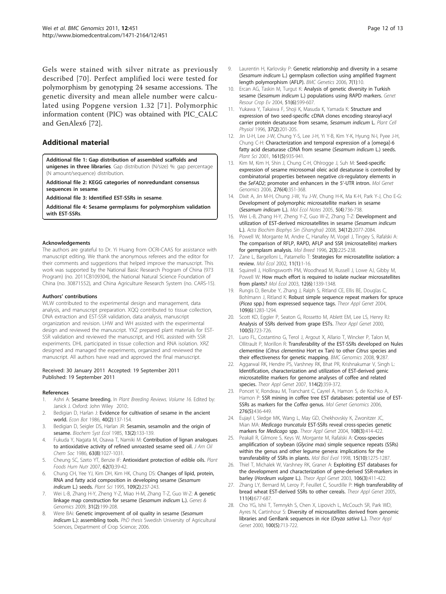<span id="page-11-0"></span>Gels were stained with silver nitrate as previously described [[70](#page-12-0)]. Perfect amplified loci were tested for polymorphism by genotyping 24 sesame accessions. The genetic diversity and mean allele number were calculated using Popgene version 1.32 [[71](#page-12-0)]. Polymorphic information content (PIC) was obtained with PIC\_CALC and GenAlex6 [[72\]](#page-12-0).

#### Additional material

#### [Additional file 1: G](http://www.biomedcentral.com/content/supplementary/1471-2164-12-451-S1.PDF)ap distribution of assembled scaffolds and

unigenes in three libraries. Gap distribution (N/size) %: gap percentage (N amount/sequence) distribution.

[Additional file 2: K](http://www.biomedcentral.com/content/supplementary/1471-2164-12-451-S2.DOC)EGG categories of nonredundant consensus sequences in sesame.

[Additional file 3: I](http://www.biomedcentral.com/content/supplementary/1471-2164-12-451-S3.XLS)dentified EST-SSRs in sesame.

[Additional file 4: S](http://www.biomedcentral.com/content/supplementary/1471-2164-12-451-S4.DOC)esame germplasms for polymorphism validation with EST-SSRs

#### Acknowledgements

The authors are grateful to Dr. Yi Huang from OCRI-CAAS for assistance with manuscript editing. We thank the anonymous referees and the editor for their comments and suggestions that helped improve the manuscript. This work was supported by the National Basic Research Program of China (973 Program) (no. 2011CB109304), the National Natural Science Foundation of China (no. 30871552), and China Agriculture Research System (no. CARS-15).

#### Authors' contributions

WLW contributed to the experimental design and management, data analysis, and manuscript preparation. XQQ contributed to tissue collection, DNA extraction and EST-SSR validation, data analysis, manuscript organization and revision. LHW and WH assisted with the experimental design and reviewed the manuscript. YXZ prepared plant materials for EST-SSR validation and reviewed the manuscript, and HXL assisted with SSR experiments. DHL participated in tissue collection and RNA isolation. XRZ designed and managed the experiments, organized and reviewed the manuscript. All authors have read and approved the final manuscript.

#### Received: 30 January 2011 Accepted: 19 September 2011 Published: 19 September 2011

#### References

- 1. Ashri A: Sesame breeding. In Plant Breeding Reviews. Volume 16. Edited by: Janick J. Oxford: John Wiley 2010:.
- 2. Bedigian D, Harlan J: Evidence for cultivation of sesame in the ancient world. Econ Bot 1986, 40(2):137-154.
- 3. Bedigian D, Seigler DS, Harlan JR: Sesamin, sesamolin and the origin of sesame. Biochem Syst Ecol 1985, 13(2):133-139.
- 4. Fukuda Y, Nagata M, Osawa T, Namiki M: Contribution of lignan analogues to antioxidative activity of refined unroasted sesame seed oil. J Am Oil Chem Soc 1986, 63(8):1027-1031.
- 5. Cheung SC, Szeto YT, Benzie IF: [Antioxidant protection of edible oils.](http://www.ncbi.nlm.nih.gov/pubmed/17285359?dopt=Abstract) Plant Foods Hum Nutr 2007, 62(1):39-42.
- Chung CH, Yee YJ, Kim DH, Kim HK, Chung DS: Changes of lipid, protein, RNA and fatty acid composition in developing sesame (Sesamum indicum L.) seeds. Plant Sci 1995, 109(2):237-243.
- 7. Wei L-B, Zhang H-Y, Zheng Y-Z, Miao H-M, Zhang T-Z, Guo W-Z: [A genetic](http://www.ncbi.nlm.nih.gov/pubmed/21936032?dopt=Abstract) [linkage map construction for sesame \(](http://www.ncbi.nlm.nih.gov/pubmed/21936032?dopt=Abstract)Sesamum indicum L.). Genes & Genomics 2009, 31(2):199-208.
- Were BAi: Genetic improvement of oil quality in sesame (Sesamum indicum L.): assembling tools. PhD thesis Swedish University of Agricultural Sciences, Department of Crop Science; 2006.
- 9. Laurentin H, Karlovsky P: [Genetic relationship and diversity in a sesame](http://www.ncbi.nlm.nih.gov/pubmed/16483380?dopt=Abstract) (Sesamum indicum [L.\) germplasm collection using amplified fragment](http://www.ncbi.nlm.nih.gov/pubmed/16483380?dopt=Abstract) [length polymorphism \(AFLP\).](http://www.ncbi.nlm.nih.gov/pubmed/16483380?dopt=Abstract) BMC Genetics 2006, 7(1):10.
- 10. Ercan AG, Taskin M, Turgut K: Analysis of genetic diversity in Turkish sesame (Sesamum indicum L.) populations using RAPD markers. Genet Resour Crop Ev 2004, 51(6):599-607.
- 11. Yukawa Y, Takaiwa F, Shoji K, Masuda K, Yamada K: [Structure and](http://www.ncbi.nlm.nih.gov/pubmed/8665096?dopt=Abstract) [expression of two seed-specific cDNA clones encoding stearoyl-acyl](http://www.ncbi.nlm.nih.gov/pubmed/8665096?dopt=Abstract) [carrier protein desaturase from sesame,](http://www.ncbi.nlm.nih.gov/pubmed/8665096?dopt=Abstract) Sesamum indicum L. Plant Cell Physiol 1996, 37(2):201-205.
- 12. Jin U-H, Lee J-W, Chung Y-S, Lee J-H, Yi Y-B, Kim Y-K, Hyung N-I, Pyee J-H, Chung C-H: Characterization and temporal expression of a [omega]-6 fatty acid desaturase cDNA from sesame (Sesamum indicum L.) seeds. Plant Sci 2001, 161(5):935-941.
- 13. Kim M, Kim H, Shin J, Chung C-H, Ohlrogge J, Suh M: [Seed-specific](http://www.ncbi.nlm.nih.gov/pubmed/16862401?dopt=Abstract) [expression of sesame microsomal oleic acid desaturase is controlled by](http://www.ncbi.nlm.nih.gov/pubmed/16862401?dopt=Abstract) [combinatorial properties between negative](http://www.ncbi.nlm.nih.gov/pubmed/16862401?dopt=Abstract) cis-regulatory elements in the SeFAD2[; promoter and enhancers in the 5](http://www.ncbi.nlm.nih.gov/pubmed/16862401?dopt=Abstract)'-UTR intron. Mol Genet Genomics 2006, 276(4):351-368.
- 14. Dixit A, Jin M-H, Chung J-W, Yu J-W, Chung H-K, Ma K-H, Park Y-J, Cho E-G: Development of polymorphic microsatellite markers in sesame (Sesamum indicum L.). Mol Ecol Notes 2005, 5(4):736-738.
- 15. Wei L-B, Zhang H-Y, Zheng Y-Z, Guo W-Z, Zhang T-Z: Development and utilization of EST-derived microsatellites in sesame (Sesamum indicum L.). Acta Biochim Biophys Sin (Shanghai) 2008, 34(12):2077-2084.
- 16. Powell W, Morgante M, Andre C, Hanafey M, Vogel J, Tingey S, Rafalski A: The comparison of RFLP, RAPD, AFLP and SSR (microsatellite) markers for germplasm analysis. Mol Breed 1996, 2(3):225-238.
- 17. Zane L, Bargelloni L, Patarnello T: [Strategies for microsatellite isolation: a](http://www.ncbi.nlm.nih.gov/pubmed/11903900?dopt=Abstract) [review.](http://www.ncbi.nlm.nih.gov/pubmed/11903900?dopt=Abstract) Mol Ecol 2002, 11(1):1-16.
- 18. Squirrell J, Hollingsworth PM, Woodhead M, Russell J, Lowe AJ, Gibby M, Powell W: [How much effort is required to isolate nuclear microsatellites](http://www.ncbi.nlm.nih.gov/pubmed/12755865?dopt=Abstract) [from plants?](http://www.ncbi.nlm.nih.gov/pubmed/12755865?dopt=Abstract) Mol Ecol 2003, 12(6):1339-1348.
- 19. Rungis D, Berube Y, Zhang J, Ralph S, Ritland CE, Ellis BE, Douglas C, Bohlmann J, Ritland K: [Robust simple sequence repeat markers for spruce](http://www.ncbi.nlm.nih.gov/pubmed/15351929?dopt=Abstract) (Picea [spp.\) from expressed sequence tags.](http://www.ncbi.nlm.nih.gov/pubmed/15351929?dopt=Abstract) Theor Appl Genet 2004, 109(6):1283-1294.
- 20. Scott KD, Eggler P, Seaton G, Rossetto M, Ablett EM, Lee LS, Henry RJ: Analysis of SSRs derived from grape ESTs. Theor Appl Genet 2000, 100(5):723-726.
- 21. Luro FL, Costantino G, Terol J, Argout X, Allario T, Wincker P, Talon M, Ollitrault P, Morillon R: [Transferability of the EST-SSRs developed on Nules](http://www.ncbi.nlm.nih.gov/pubmed/18558001?dopt=Abstract) clementine (Citrus clementina [Hort ex Tan\) to other](http://www.ncbi.nlm.nih.gov/pubmed/18558001?dopt=Abstract) Citrus species and [their effectiveness for genetic mapping.](http://www.ncbi.nlm.nih.gov/pubmed/18558001?dopt=Abstract) BMC Genomics 2008, 9:287.
- 22. Aggarwal RK, Hendre PS, Varshney RK, Bhat PR, Krishnakumar V, Singh L: [Identification, characterization and utilization of EST-derived genic](http://www.ncbi.nlm.nih.gov/pubmed/17115127?dopt=Abstract) [microsatellite markers for genome analyses of coffee and related](http://www.ncbi.nlm.nih.gov/pubmed/17115127?dopt=Abstract) [species.](http://www.ncbi.nlm.nih.gov/pubmed/17115127?dopt=Abstract) Theor Appl Genet 2007, 114(2):359-372.
- 23. Poncet V, Rondeau M, Tranchant C, Cayrel A, Hamon S, de Kochko A, Hamon P: [SSR mining in coffee tree EST databases: potential use of EST-](http://www.ncbi.nlm.nih.gov/pubmed/16924545?dopt=Abstract)[SSRs as markers for the](http://www.ncbi.nlm.nih.gov/pubmed/16924545?dopt=Abstract) Coffea genus. Mol Genet Genomics 2006, 276(5):436-449.
- 24. Eujayl I, Sledge MK, Wang L, May GD, Chekhovskiy K, Zwonitzer JC, Mian MA: Medicago truncatula [EST-SSRs reveal cross-species genetic](http://www.ncbi.nlm.nih.gov/pubmed/13679975?dopt=Abstract) [markers for](http://www.ncbi.nlm.nih.gov/pubmed/13679975?dopt=Abstract) Medicago spp. Theor Appl Genet 2004, 108(3):414-422.
- 25. Peakall R, Gilmore S, Keys W, Morgante M, Rafalski A: [Cross-species](http://www.ncbi.nlm.nih.gov/pubmed/9787434?dopt=Abstract) amplification of soybean (Glycine max[\) simple sequence repeats \(SSRs\)](http://www.ncbi.nlm.nih.gov/pubmed/9787434?dopt=Abstract) [within the genus and other legume genera: implications for the](http://www.ncbi.nlm.nih.gov/pubmed/9787434?dopt=Abstract) [transferability of SSRs in plants.](http://www.ncbi.nlm.nih.gov/pubmed/9787434?dopt=Abstract) Mol Biol Evol 1998, 15(10):1275-1287.
- 26. Thiel T, Michalek W, Varshney RK, Graner A: [Exploiting EST databases for](http://www.ncbi.nlm.nih.gov/pubmed/12589540?dopt=Abstract) [the development and characterization of gene-derived SSR-markers in](http://www.ncbi.nlm.nih.gov/pubmed/12589540?dopt=Abstract) barley ([Hordeum vulgare](http://www.ncbi.nlm.nih.gov/pubmed/12589540?dopt=Abstract) L.). Theor Appl Genet 2003, 106(3):411-422.
- 27. Zhang LY, Bernard M, Leroy P, Feuillet C, Sourdille P: [High transferability of](http://www.ncbi.nlm.nih.gov/pubmed/16034582?dopt=Abstract) [bread wheat EST-derived SSRs to other cereals.](http://www.ncbi.nlm.nih.gov/pubmed/16034582?dopt=Abstract) Theor Appl Genet 2005, 111(4):677-687.
- 28. Cho YG, Ishii T, Temnykh S, Chen X, Lipovich L, McCouch SR, Park WD, Ayres N, Cartinhour S: Diversity of microsatellites derived from genomic libraries and GenBank sequences in rice (Oryza sativa L.). Theor Appl Genet 2000, 100(5):713-722.